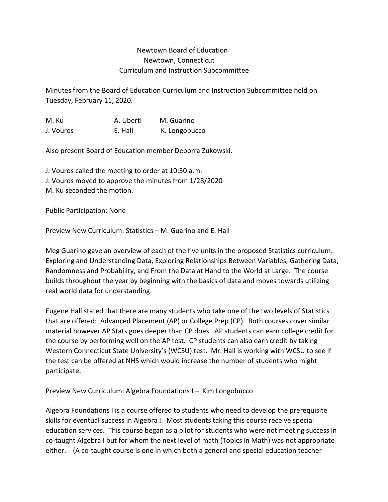## Newtown Board of Education Newtown, Connecticut Curriculum and Instruction Subcommittee

Minutes from the Board of Education Curriculum and Instruction Subcommittee held on Tuesday, February 11, 2020.

M. Ku A. Uberti M. Guarino J. Vouros E. Hall K. Longobucco

Also present Board of Education member Deborra Zukowski.

J. Vouros called the meeting to order at 10:30 a.m. J. Vouros moved to approve the minutes from 1/28/2020 M. Ku seconded the motion.

Public Participation: None

Preview New Curriculum: Statistics – M. Guarino and E. Hall

Meg Guarino gave an overview of each of the five units in the proposed Statistics curriculum: Exploring and Understanding Data, Exploring Relationships Between Variables, Gathering Data, Randomness and Probability, and From the Data at Hand to the World at Large. The course builds throughout the year by beginning with the basics of data and moves towards utilizing real world data for understanding.

Eugene Hall stated that there are many students who take one of the two levels of Statistics that are offered: Advanced Placement (AP) or College Prep (CP). Both courses cover similar material however AP Stats goes deeper than CP does. AP students can earn college credit for the course by performing well on the AP test. CP students can also earn credit by taking Western Connecticut State University's (WCSU) test. Mr. Hall is working with WCSU to see if the test can be offered at NHS which would increase the number of students who might participate.

Preview New Curriculum: Algebra Foundations I – Kim Longobucco

Algebra Foundations I is a course offered to students who need to develop the prerequisite skills for eventual success in Algebra I. Most students taking this course receive special education services. This course began as a pilot for students who were not meeting success in co-taught Algebra I but for whom the next level of math (Topics in Math) was not appropriate either. (A co-taught course is one in which both a general and special education teacher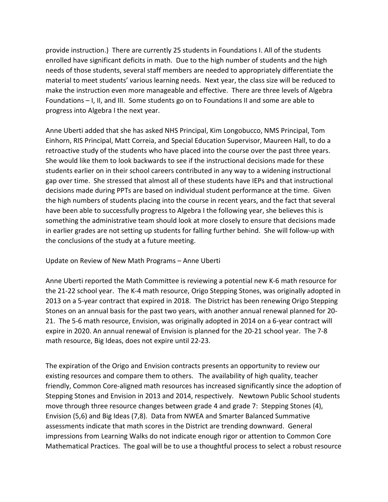provide instruction.) There are currently 25 students in Foundations I. All of the students enrolled have significant deficits in math. Due to the high number of students and the high needs of those students, several staff members are needed to appropriately differentiate the material to meet students' various learning needs. Next year, the class size will be reduced to make the instruction even more manageable and effective. There are three levels of Algebra Foundations – I, II, and III. Some students go on to Foundations II and some are able to progress into Algebra I the next year.

Anne Uberti added that she has asked NHS Principal, Kim Longobucco, NMS Principal, Tom Einhorn, RIS Principal, Matt Correia, and Special Education Supervisor, Maureen Hall, to do a retroactive study of the students who have placed into the course over the past three years. She would like them to look backwards to see if the instructional decisions made for these students earlier on in their school careers contributed in any way to a widening instructional gap over time. She stressed that almost all of these students have IEPs and that instructional decisions made during PPTs are based on individual student performance at the time. Given the high numbers of students placing into the course in recent years, and the fact that several have been able to successfully progress to Algebra I the following year, she believes this is something the administrative team should look at more closely to ensure that decisions made in earlier grades are not setting up students for falling further behind. She will follow-up with the conclusions of the study at a future meeting.

Update on Review of New Math Programs – Anne Uberti

Anne Uberti reported the Math Committee is reviewing a potential new K-6 math resource for the 21-22 school year. The K-4 math resource, Origo Stepping Stones, was originally adopted in 2013 on a 5-year contract that expired in 2018. The District has been renewing Origo Stepping Stones on an annual basis for the past two years, with another annual renewal planned for 20- 21. The 5-6 math resource, Envision, was originally adopted in 2014 on a 6-year contract will expire in 2020. An annual renewal of Envision is planned for the 20-21 school year. The 7-8 math resource, Big Ideas, does not expire until 22-23.

The expiration of the Origo and Envision contracts presents an opportunity to review our existing resources and compare them to others. The availability of high quality, teacher friendly, Common Core-aligned math resources has increased significantly since the adoption of Stepping Stones and Envision in 2013 and 2014, respectively. Newtown Public School students move through three resource changes between grade 4 and grade 7: Stepping Stones (4), Envision (5,6) and Big Ideas (7,8). Data from NWEA and Smarter Balanced Summative assessments indicate that math scores in the District are trending downward. General impressions from Learning Walks do not indicate enough rigor or attention to Common Core Mathematical Practices. The goal will be to use a thoughtful process to select a robust resource